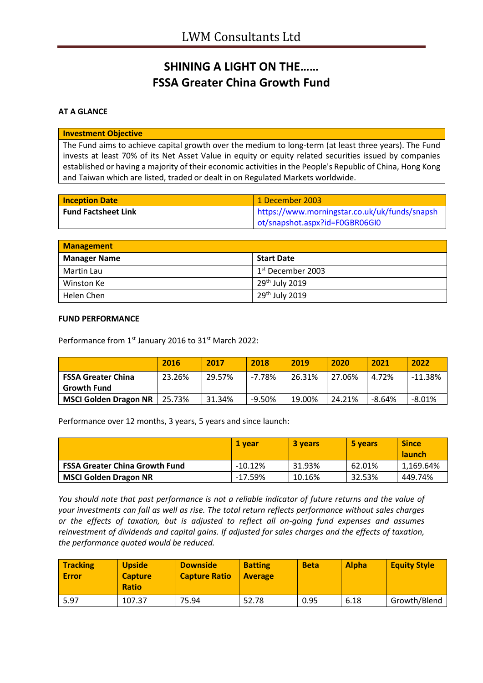## **SHINING A LIGHT ON THE…… FSSA Greater China Growth Fund**

**AT A GLANCE**

**Investment Objective**

The Fund aims to achieve capital growth over the medium to long-term (at least three years). The Fund invests at least 70% of its Net Asset Value in equity or equity related securities issued by companies established or having a majority of their economic activities in the People's Republic of China, Hong Kong and Taiwan which are listed, traded or dealt in on Regulated Markets worldwide.

| <b>Inception Date</b>      | 1 December 2003                               |
|----------------------------|-----------------------------------------------|
| <b>Fund Factsheet Link</b> | https://www.morningstar.co.uk/uk/funds/snapsh |
|                            | ot/snapshot.aspx?id=F0GBR06GI0                |

| <b>Management</b>   |                            |  |
|---------------------|----------------------------|--|
| <b>Manager Name</b> | <b>Start Date</b>          |  |
| Martin Lau          | $1st$ December 2003        |  |
| Winston Ke          | 29 <sup>th</sup> July 2019 |  |
| Helen Chen          | 29 <sup>th</sup> July 2019 |  |

## **FUND PERFORMANCE**

Performance from 1<sup>st</sup> January 2016 to 31<sup>st</sup> March 2022:

|                              | 2016      | 2017   | 2018     | 2019   | 2020   | 2021   | 2022      |
|------------------------------|-----------|--------|----------|--------|--------|--------|-----------|
| <b>FSSA Greater China</b>    | 23.26%    | 29.57% | $-7.78%$ | 26.31% | 27.06% | 4.72%  | $-11.38%$ |
| <b>Growth Fund</b>           |           |        |          |        |        |        |           |
| <b>MSCI Golden Dragon NR</b> | $25.73\%$ | 31.34% | $-9.50%$ | 19.00% | 24.21% | -8.64% | $-8.01%$  |

Performance over 12 months, 3 years, 5 years and since launch:

|                                       | 1 vear    | <b>3 years</b> | 5 years | <b>Since</b><br><b>launch</b> |
|---------------------------------------|-----------|----------------|---------|-------------------------------|
| <b>FSSA Greater China Growth Fund</b> | $-10.12%$ | 31.93%         | 62.01%  | 1,169.64%                     |
| <b>MSCI Golden Dragon NR</b>          | -17.59%   | 10.16%         | 32.53%  | 449.74%                       |

*You should note that past performance is not a reliable indicator of future returns and the value of your investments can fall as well as rise. The total return reflects performance without sales charges or the effects of taxation, but is adjusted to reflect all on-going fund expenses and assumes reinvestment of dividends and capital gains. If adjusted for sales charges and the effects of taxation, the performance quoted would be reduced.*

| Tracking<br><b>Error</b> | <b>Upside</b><br><b>Capture</b><br><b>Ratio</b> | <b>Downside</b><br><b>Capture Ratio</b> | <b>Batting</b><br><b>Average</b> | <b>Beta</b> | <b>Alpha</b> | <b>Equity Style</b> |
|--------------------------|-------------------------------------------------|-----------------------------------------|----------------------------------|-------------|--------------|---------------------|
| 5.97                     | 107.37                                          | 75.94                                   | 52.78                            | 0.95        | 6.18         | Growth/Blend        |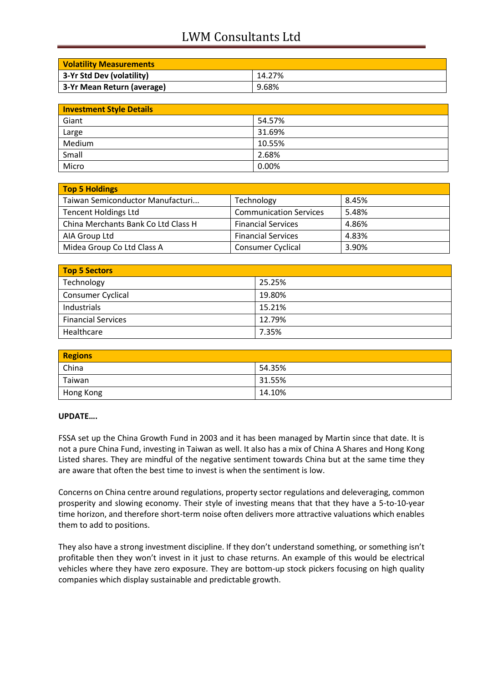## LWM Consultants Ltd

| <b>Volatility Measurements</b> |        |
|--------------------------------|--------|
| 3-Yr Std Dev (volatility)      | 14.27% |
| 3-Yr Mean Return (average)     | 9.68%  |

| <b>Investment Style Details</b> |        |  |
|---------------------------------|--------|--|
| Giant                           | 54.57% |  |
| Large                           | 31.69% |  |
| Medium                          | 10.55% |  |
| Small                           | 2.68%  |  |
| Micro                           | 0.00%  |  |

| Top 5 Holdings                      |                               |       |
|-------------------------------------|-------------------------------|-------|
| Taiwan Semiconductor Manufacturi    | Technology                    | 8.45% |
| <b>Tencent Holdings Ltd</b>         | <b>Communication Services</b> | 5.48% |
| China Merchants Bank Co Ltd Class H | <b>Financial Services</b>     | 4.86% |
| AIA Group Ltd                       | <b>Financial Services</b>     | 4.83% |
| Midea Group Co Ltd Class A          | <b>Consumer Cyclical</b>      | 3.90% |

| Top 5 Sectors             |        |  |
|---------------------------|--------|--|
| Technology                | 25.25% |  |
| <b>Consumer Cyclical</b>  | 19.80% |  |
| Industrials               | 15.21% |  |
| <b>Financial Services</b> | 12.79% |  |
| Healthcare                | 7.35%  |  |

| <b>Regions</b> |        |
|----------------|--------|
| China          | 54.35% |
| Taiwan         | 31.55% |
| Hong Kong      | 14.10% |

## **UPDATE….**

FSSA set up the China Growth Fund in 2003 and it has been managed by Martin since that date. It is not a pure China Fund, investing in Taiwan as well. It also has a mix of China A Shares and Hong Kong Listed shares. They are mindful of the negative sentiment towards China but at the same time they are aware that often the best time to invest is when the sentiment is low.

Concerns on China centre around regulations, property sector regulations and deleveraging, common prosperity and slowing economy. Their style of investing means that that they have a 5-to-10-year time horizon, and therefore short-term noise often delivers more attractive valuations which enables them to add to positions.

They also have a strong investment discipline. If they don't understand something, or something isn't profitable then they won't invest in it just to chase returns. An example of this would be electrical vehicles where they have zero exposure. They are bottom-up stock pickers focusing on high quality companies which display sustainable and predictable growth.